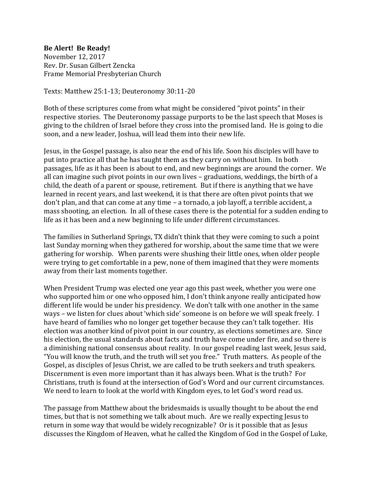## **Be Alert! Be Ready!**

November 12, 2017 Rev. Dr. Susan Gilbert Zencka Frame Memorial Presbyterian Church

Texts: Matthew 25:1-13; Deuteronomy 30:11-20

Both of these scriptures come from what might be considered "pivot points" in their respective stories. The Deuteronomy passage purports to be the last speech that Moses is giving to the children of Israel before they cross into the promised land. He is going to die soon, and a new leader, Joshua, will lead them into their new life.

Jesus, in the Gospel passage, is also near the end of his life. Soon his disciples will have to put into practice all that he has taught them as they carry on without him. In both passages, life as it has been is about to end, and new beginnings are around the corner. We all can imagine such pivot points in our own lives – graduations, weddings, the birth of a child, the death of a parent or spouse, retirement. But if there is anything that we have learned in recent years, and last weekend, it is that there are often pivot points that we don't plan, and that can come at any time – a tornado, a job layoff, a terrible accident, a mass shooting, an election. In all of these cases there is the potential for a sudden ending to life as it has been and a new beginning to life under different circumstances.

The families in Sutherland Springs, TX didn't think that they were coming to such a point last Sunday morning when they gathered for worship, about the same time that we were gathering for worship. When parents were shushing their little ones, when older people were trying to get comfortable in a pew, none of them imagined that they were moments away from their last moments together.

When President Trump was elected one year ago this past week, whether you were one who supported him or one who opposed him, I don't think anyone really anticipated how different life would be under his presidency. We don't talk with one another in the same ways – we listen for clues about 'which side' someone is on before we will speak freely. I have heard of families who no longer get together because they can't talk together. His election was another kind of pivot point in our country, as elections sometimes are. Since his election, the usual standards about facts and truth have come under fire, and so there is a diminishing national consensus about reality. In our gospel reading last week, Jesus said, "You will know the truth, and the truth will set you free." Truth matters. As people of the Gospel, as disciples of Jesus Christ, we are called to be truth seekers and truth speakers. Discernment is even more important than it has always been. What is the truth? For Christians, truth is found at the intersection of God's Word and our current circumstances. We need to learn to look at the world with Kingdom eyes, to let God's word read us.

The passage from Matthew about the bridesmaids is usually thought to be about the end times, but that is not something we talk about much. Are we really expecting Jesus to return in some way that would be widely recognizable? Or is it possible that as Jesus discusses the Kingdom of Heaven, what he called the Kingdom of God in the Gospel of Luke,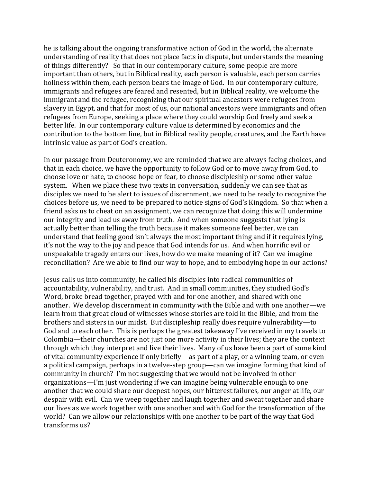he is talking about the ongoing transformative action of God in the world, the alternate understanding of reality that does not place facts in dispute, but understands the meaning of things differently? So that in our contemporary culture, some people are more important than others, but in Biblical reality, each person is valuable, each person carries holiness within them, each person bears the image of God. In our contemporary culture, immigrants and refugees are feared and resented, but in Biblical reality, we welcome the immigrant and the refugee, recognizing that our spiritual ancestors were refugees from slavery in Egypt, and that for most of us, our national ancestors were immigrants and often refugees from Europe, seeking a place where they could worship God freely and seek a better life. In our contemporary culture value is determined by economics and the contribution to the bottom line, but in Biblical reality people, creatures, and the Earth have intrinsic value as part of God's creation.

In our passage from Deuteronomy, we are reminded that we are always facing choices, and that in each choice, we have the opportunity to follow God or to move away from God, to choose love or hate, to choose hope or fear, to choose discipleship or some other value system. When we place these two texts in conversation, suddenly we can see that as disciples we need to be alert to issues of discernment, we need to be ready to recognize the choices before us, we need to be prepared to notice signs of God's Kingdom. So that when a friend asks us to cheat on an assignment, we can recognize that doing this will undermine our integrity and lead us away from truth. And when someone suggests that lying is actually better than telling the truth because it makes someone feel better, we can understand that feeling good isn't always the most important thing and if it requires lying, it's not the way to the joy and peace that God intends for us. And when horrific evil or unspeakable tragedy enters our lives, how do we make meaning of it? Can we imagine reconciliation? Are we able to find our way to hope, and to embodying hope in our actions?

Jesus calls us into community, he called his disciples into radical communities of accountability, vulnerability, and trust. And in small communities, they studied God's Word, broke bread together, prayed with and for one another, and shared with one another. We develop discernment in community with the Bible and with one another—we learn from that great cloud of witnesses whose stories are told in the Bible, and from the brothers and sisters in our midst. But discipleship really does require vulnerability—to God and to each other. This is perhaps the greatest takeaway I've received in my travels to Colombia—their churches are not just one more activity in their lives; they are the context through which they interpret and live their lives. Many of us have been a part of some kind of vital community experience if only briefly—as part of a play, or a winning team, or even a political campaign, perhaps in a twelve-step group—can we imagine forming that kind of community in church? I'm not suggesting that we would not be involved in other organizations—I'm just wondering if we can imagine being vulnerable enough to one another that we could share our deepest hopes, our bitterest failures, our anger at life, our despair with evil. Can we weep together and laugh together and sweat together and share our lives as we work together with one another and with God for the transformation of the world? Can we allow our relationships with one another to be part of the way that God transforms us?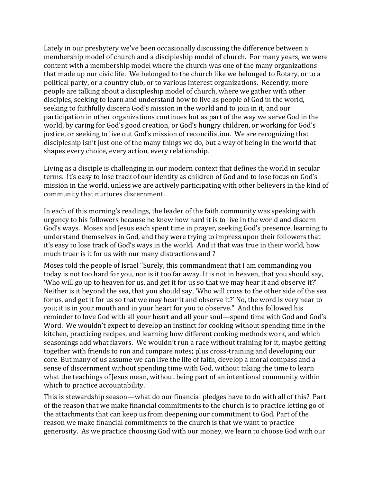Lately in our presbytery we've been occasionally discussing the difference between a membership model of church and a discipleship model of church. For many years, we were content with a membership model where the church was one of the many organizations that made up our civic life. We belonged to the church like we belonged to Rotary, or to a political party, or a country club, or to various interest organizations. Recently, more people are talking about a discipleship model of church, where we gather with other disciples, seeking to learn and understand how to live as people of God in the world, seeking to faithfully discern God's mission in the world and to join in it, and our participation in other organizations continues but as part of the way we serve God in the world, by caring for God's good creation, or God's hungry children, or working for God's justice, or seeking to live out God's mission of reconciliation. We are recognizing that discipleship isn't just one of the many things we do, but a way of being in the world that shapes every choice, every action, every relationship.

Living as a disciple is challenging in our modern context that defines the world in secular terms. It's easy to lose track of our identity as children of God and to lose focus on God's mission in the world, unless we are actively participating with other believers in the kind of community that nurtures discernment.

In each of this morning's readings, the leader of the faith community was speaking with urgency to his followers because he knew how hard it is to live in the world and discern God's ways. Moses and Jesus each spent time in prayer, seeking God's presence, learning to understand themselves in God, and they were trying to impress upon their followers that it's easy to lose track of God's ways in the world. And it that was true in their world, how much truer is it for us with our many distractions and ?

Moses told the people of Israel "Surely, this commandment that I am commanding you today is not too hard for you, nor is it too far away. It is not in heaven, that you should say, 'Who will go up to heaven for us, and get it for us so that we may hear it and observe it?' Neither is it beyond the sea, that you should say, 'Who will cross to the other side of the sea for us, and get it for us so that we may hear it and observe it?' No, the word is very near to you; it is in your mouth and in your heart for you to observe." And this followed his reminder to love God with all your heart and all your soul—spend time with God and God's Word. We wouldn't expect to develop an instinct for cooking without spending time in the kitchen, practicing recipes, and learning how different cooking methods work, and which seasonings add what flavors. We wouldn't run a race without training for it, maybe getting together with friends to run and compare notes; plus cross-training and developing our core. But many of us assume we can live the life of faith, develop a moral compass and a sense of discernment without spending time with God, without taking the time to learn what the teachings of Jesus mean, without being part of an intentional community within which to practice accountability.

This is stewardship season—what do our financial pledges have to do with all of this? Part of the reason that we make financial commitments to the church is to practice letting go of the attachments that can keep us from deepening our commitment to God. Part of the reason we make financial commitments to the church is that we want to practice generosity. As we practice choosing God with our money, we learn to choose God with our